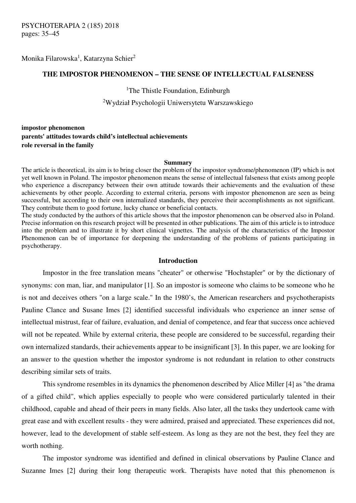Monika Filarowska<sup>1</sup>, Katarzyna Schier<sup>2</sup>

## **THE IMPOSTOR PHENOMENON – THE SENSE OF INTELLECTUAL FALSENESS**

<sup>1</sup>The Thistle Foundation, Edinburgh

<sup>2</sup>Wydział Psychologii Uniwersytetu Warszawskiego

# **impostor phenomenon parents' attitudes towards child's intellectual achievements role reversal in the family**

#### **Summary**

The article is theoretical, its aim is to bring closer the problem of the impostor syndrome/phenomenon (IP) which is not yet well known in Poland. The impostor phenomenon means the sense of intellectual falseness that exists among people who experience a discrepancy between their own attitude towards their achievements and the evaluation of these achievements by other people. According to external criteria, persons with impostor phenomenon are seen as being successful, but according to their own internalized standards, they perceive their accomplishments as not significant. They contribute them to good fortune, lucky chance or beneficial contacts.

The study conducted by the authors of this article shows that the impostor phenomenon can be observed also in Poland. Precise information on this research project will be presented in other publications. The aim of this article is to introduce into the problem and to illustrate it by short clinical vignettes. The analysis of the characteristics of the Impostor Phenomenon can be of importance for deepening the understanding of the problems of patients participating in psychotherapy.

### **Introduction**

Impostor in the free translation means "cheater" or otherwise "Hochstapler" or by the dictionary of synonyms: con man, liar, and manipulator [1]. So an impostor is someone who claims to be someone who he is not and deceives others "on a large scale." In the 1980's, the American researchers and psychotherapists Pauline Clance and Susane Imes [2] identified successful individuals who experience an inner sense of intellectual mistrust, fear of failure, evaluation, and denial of competence, and fear that success once achieved will not be repeated. While by external criteria, these people are considered to be successful, regarding their own internalized standards, their achievements appear to be insignificant [3]. In this paper, we are looking for an answer to the question whether the impostor syndrome is not redundant in relation to other constructs describing similar sets of traits.

This syndrome resembles in its dynamics the phenomenon described by Alice Miller [4] as "the drama of a gifted child", which applies especially to people who were considered particularly talented in their childhood, capable and ahead of their peers in many fields. Also later, all the tasks they undertook came with great ease and with excellent results - they were admired, praised and appreciated. These experiences did not, however, lead to the development of stable self-esteem. As long as they are not the best, they feel they are worth nothing.

 The impostor syndrome was identified and defined in clinical observations by Pauline Clance and Suzanne Imes [2] during their long therapeutic work. Therapists have noted that this phenomenon is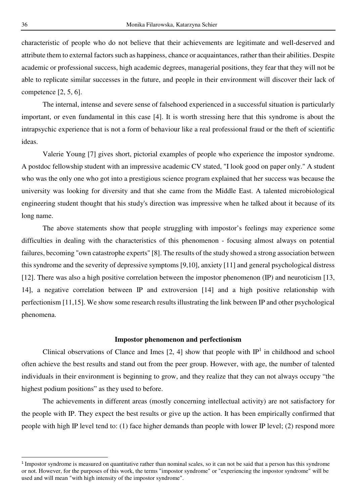characteristic of people who do not believe that their achievements are legitimate and well-deserved and attribute them to external factors such as happiness, chance or acquaintances, rather than their abilities. Despite academic or professional success, high academic degrees, managerial positions, they fear that they will not be able to replicate similar successes in the future, and people in their environment will discover their lack of competence [2, 5, 6].

 The internal, intense and severe sense of falsehood experienced in a successful situation is particularly important, or even fundamental in this case [4]. It is worth stressing here that this syndrome is about the intrapsychic experience that is not a form of behaviour like a real professional fraud or the theft of scientific ideas.

 Valerie Young [7] gives short, pictorial examples of people who experience the impostor syndrome. A postdoc fellowship student with an impressive academic CV stated, "I look good on paper only." A student who was the only one who got into a prestigious science program explained that her success was because the university was looking for diversity and that she came from the Middle East. A talented microbiological engineering student thought that his study's direction was impressive when he talked about it because of its long name.

The above statements show that people struggling with impostor's feelings may experience some difficulties in dealing with the characteristics of this phenomenon - focusing almost always on potential failures, becoming "own catastrophe experts" [8]. The results of the study showed a strong association between this syndrome and the severity of depressive symptoms [9,10], anxiety [11] and general psychological distress [12]. There was also a high positive correlation between the impostor phenomenon (IP) and neuroticism [13, 14], a negative correlation between IP and extroversion [14] and a high positive relationship with perfectionism [11,15]. We show some research results illustrating the link between IP and other psychological phenomena.

### **Impostor phenomenon and perfectionism**

Clinical observations of Clance and Imes  $[2, 4]$  show that people with  $IP<sup>1</sup>$  in childhood and school often achieve the best results and stand out from the peer group. However, with age, the number of talented individuals in their environment is beginning to grow, and they realize that they can not always occupy "the highest podium positions" as they used to before.

The achievements in different areas (mostly concerning intellectual activity) are not satisfactory for the people with IP. They expect the best results or give up the action. It has been empirically confirmed that people with high IP level tend to: (1) face higher demands than people with lower IP level; (2) respond more

<sup>&</sup>lt;sup>1</sup> Impostor syndrome is measured on quantitative rather than nominal scales, so it can not be said that a person has this syndrome or not. However, for the purposes of this work, the terms "impostor syndrome" or "experiencing the impostor syndrome" will be used and will mean "with high intensity of the impostor syndrome".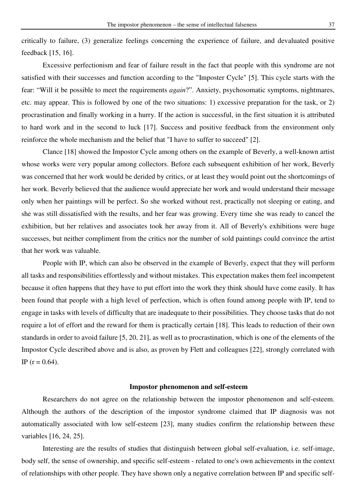critically to failure, (3) generalize feelings concerning the experience of failure, and devaluated positive feedback [15, 16].

 Excessive perfectionism and fear of failure result in the fact that people with this syndrome are not satisfied with their successes and function according to the "Imposter Cycle" [5]. This cycle starts with the fear: "Will it be possible to meet the requirements *again*?". Anxiety, psychosomatic symptoms, nightmares, etc. may appear. This is followed by one of the two situations: 1) excessive preparation for the task, or 2) procrastination and finally working in a hurry. If the action is successful, in the first situation it is attributed to hard work and in the second to luck [17]. Success and positive feedback from the environment only reinforce the whole mechanism and the belief that "I have to suffer to succeed" [2].

 Clance [18] showed the Impostor Cycle among others on the example of Beverly, a well-known artist whose works were very popular among collectors. Before each subsequent exhibition of her work, Beverly was concerned that her work would be derided by critics, or at least they would point out the shortcomings of her work. Beverly believed that the audience would appreciate her work and would understand their message only when her paintings will be perfect. So she worked without rest, practically not sleeping or eating, and she was still dissatisfied with the results, and her fear was growing. Every time she was ready to cancel the exhibition, but her relatives and associates took her away from it. All of Beverly's exhibitions were huge successes, but neither compliment from the critics nor the number of sold paintings could convince the artist that her work was valuable.

People with IP, which can also be observed in the example of Beverly, expect that they will perform all tasks and responsibilities effortlessly and without mistakes. This expectation makes them feel incompetent because it often happens that they have to put effort into the work they think should have come easily. It has been found that people with a high level of perfection, which is often found among people with IP, tend to engage in tasks with levels of difficulty that are inadequate to their possibilities. They choose tasks that do not require a lot of effort and the reward for them is practically certain [18]. This leads to reduction of their own standards in order to avoid failure [5, 20, 21], as well as to procrastination, which is one of the elements of the Impostor Cycle described above and is also, as proven by Flett and colleagues [22], strongly correlated with IP ( $r = 0.64$ ).

#### **Impostor phenomenon and self-esteem**

Researchers do not agree on the relationship between the impostor phenomenon and self-esteem. Although the authors of the description of the impostor syndrome claimed that IP diagnosis was not automatically associated with low self-esteem [23], many studies confirm the relationship between these variables [16, 24, 25].

Interesting are the results of studies that distinguish between global self-evaluation, i.e. self-image, body self, the sense of ownership, and specific self-esteem - related to one's own achievements in the context of relationships with other people. They have shown only a negative correlation between IP and specific self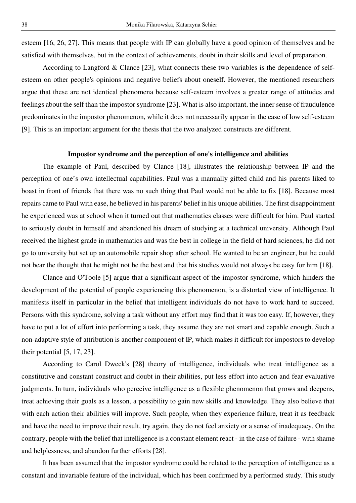esteem [16, 26, 27]. This means that people with IP can globally have a good opinion of themselves and be satisfied with themselves, but in the context of achievements, doubt in their skills and level of preparation.

 According to Langford & Clance [23], what connects these two variables is the dependence of selfesteem on other people's opinions and negative beliefs about oneself. However, the mentioned researchers argue that these are not identical phenomena because self-esteem involves a greater range of attitudes and feelings about the self than the impostor syndrome [23]. What is also important, the inner sense of fraudulence predominates in the impostor phenomenon, while it does not necessarily appear in the case of low self-esteem [9]. This is an important argument for the thesis that the two analyzed constructs are different.

## **Impostor syndrome and the perception of one's intelligence and abilities**

The example of Paul, described by Clance [18], illustrates the relationship between IP and the perception of one's own intellectual capabilities. Paul was a manually gifted child and his parents liked to boast in front of friends that there was no such thing that Paul would not be able to fix [18]. Because most repairs came to Paul with ease, he believed in his parents' belief in his unique abilities. The first disappointment he experienced was at school when it turned out that mathematics classes were difficult for him. Paul started to seriously doubt in himself and abandoned his dream of studying at a technical university. Although Paul received the highest grade in mathematics and was the best in college in the field of hard sciences, he did not go to university but set up an automobile repair shop after school. He wanted to be an engineer, but he could not bear the thought that he might not be the best and that his studies would not always be easy for him [18].

Clance and O'Toole [5] argue that a significant aspect of the impostor syndrome, which hinders the development of the potential of people experiencing this phenomenon, is a distorted view of intelligence. It manifests itself in particular in the belief that intelligent individuals do not have to work hard to succeed. Persons with this syndrome, solving a task without any effort may find that it was too easy. If, however, they have to put a lot of effort into performing a task, they assume they are not smart and capable enough. Such a non-adaptive style of attribution is another component of IP, which makes it difficult for impostors to develop their potential [5, 17, 23].

According to Carol Dweck's [28] theory of intelligence, individuals who treat intelligence as a constitutive and constant construct and doubt in their abilities, put less effort into action and fear evaluative judgments. In turn, individuals who perceive intelligence as a flexible phenomenon that grows and deepens, treat achieving their goals as a lesson, a possibility to gain new skills and knowledge. They also believe that with each action their abilities will improve. Such people, when they experience failure, treat it as feedback and have the need to improve their result, try again, they do not feel anxiety or a sense of inadequacy. On the contrary, people with the belief that intelligence is a constant element react - in the case of failure - with shame and helplessness, and abandon further efforts [28].

It has been assumed that the impostor syndrome could be related to the perception of intelligence as a constant and invariable feature of the individual, which has been confirmed by a performed study. This study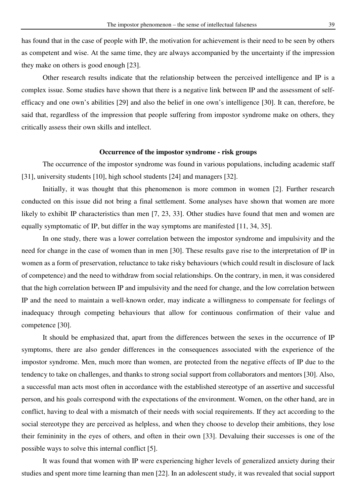has found that in the case of people with IP, the motivation for achievement is their need to be seen by others as competent and wise. At the same time, they are always accompanied by the uncertainty if the impression they make on others is good enough [23].

Other research results indicate that the relationship between the perceived intelligence and IP is a complex issue. Some studies have shown that there is a negative link between IP and the assessment of selfefficacy and one own's abilities [29] and also the belief in one own's intelligence [30]. It can, therefore, be said that, regardless of the impression that people suffering from impostor syndrome make on others, they critically assess their own skills and intellect.

#### **Occurrence of the impostor syndrome - risk groups**

The occurrence of the impostor syndrome was found in various populations, including academic staff [31], university students [10], high school students [24] and managers [32].

Initially, it was thought that this phenomenon is more common in women [2]. Further research conducted on this issue did not bring a final settlement. Some analyses have shown that women are more likely to exhibit IP characteristics than men [7, 23, 33]. Other studies have found that men and women are equally symptomatic of IP, but differ in the way symptoms are manifested [11, 34, 35].

 In one study, there was a lower correlation between the impostor syndrome and impulsivity and the need for change in the case of women than in men [30]. These results gave rise to the interpretation of IP in women as a form of preservation, reluctance to take risky behaviours (which could result in disclosure of lack of competence) and the need to withdraw from social relationships. On the contrary, in men, it was considered that the high correlation between IP and impulsivity and the need for change, and the low correlation between IP and the need to maintain a well-known order, may indicate a willingness to compensate for feelings of inadequacy through competing behaviours that allow for continuous confirmation of their value and competence [30].

 It should be emphasized that, apart from the differences between the sexes in the occurrence of IP symptoms, there are also gender differences in the consequences associated with the experience of the impostor syndrome. Men, much more than women, are protected from the negative effects of IP due to the tendency to take on challenges, and thanks to strong social support from collaborators and mentors [30]. Also, a successful man acts most often in accordance with the established stereotype of an assertive and successful person, and his goals correspond with the expectations of the environment. Women, on the other hand, are in conflict, having to deal with a mismatch of their needs with social requirements. If they act according to the social stereotype they are perceived as helpless, and when they choose to develop their ambitions, they lose their femininity in the eyes of others, and often in their own [33]. Devaluing their successes is one of the possible ways to solve this internal conflict [5].

 It was found that women with IP were experiencing higher levels of generalized anxiety during their studies and spent more time learning than men [22]. In an adolescent study, it was revealed that social support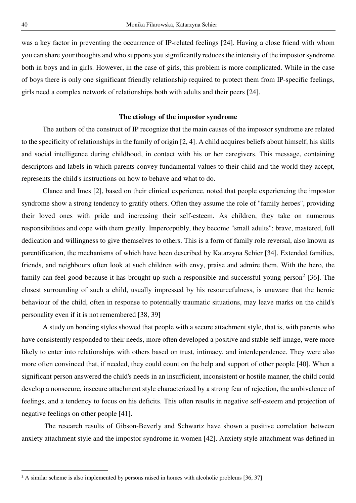was a key factor in preventing the occurrence of IP-related feelings [24]. Having a close friend with whom you can share your thoughts and who supports you significantly reduces the intensity of the impostor syndrome both in boys and in girls. However, in the case of girls, this problem is more complicated. While in the case of boys there is only one significant friendly relationship required to protect them from IP-specific feelings, girls need a complex network of relationships both with adults and their peers [24].

### **The etiology of the impostor syndrome**

The authors of the construct of IP recognize that the main causes of the impostor syndrome are related to the specificity of relationships in the family of origin [2, 4]. A child acquires beliefs about himself, his skills and social intelligence during childhood, in contact with his or her caregivers. This message, containing descriptors and labels in which parents convey fundamental values to their child and the world they accept, represents the child's instructions on how to behave and what to do.

 Clance and Imes [2], based on their clinical experience, noted that people experiencing the impostor syndrome show a strong tendency to gratify others. Often they assume the role of "family heroes", providing their loved ones with pride and increasing their self-esteem. As children, they take on numerous responsibilities and cope with them greatly. Imperceptibly, they become "small adults": brave, mastered, full dedication and willingness to give themselves to others. This is a form of family role reversal, also known as parentification, the mechanisms of which have been described by Katarzyna Schier [34]. Extended families, friends, and neighbours often look at such children with envy, praise and admire them. With the hero, the family can feel good because it has brought up such a responsible and successful young person<sup>2</sup> [36]. The closest surrounding of such a child, usually impressed by his resourcefulness, is unaware that the heroic behaviour of the child, often in response to potentially traumatic situations, may leave marks on the child's personality even if it is not remembered [38, 39]

 A study on bonding styles showed that people with a secure attachment style, that is, with parents who have consistently responded to their needs, more often developed a positive and stable self-image, were more likely to enter into relationships with others based on trust, intimacy, and interdependence. They were also more often convinced that, if needed, they could count on the help and support of other people [40]. When a significant person answered the child's needs in an insufficient, inconsistent or hostile manner, the child could develop a nonsecure, insecure attachment style characterized by a strong fear of rejection, the ambivalence of feelings, and a tendency to focus on his deficits. This often results in negative self-esteem and projection of negative feelings on other people [41].

 The research results of Gibson-Beverly and Schwartz have shown a positive correlation between anxiety attachment style and the impostor syndrome in women [42]. Anxiety style attachment was defined in

<sup>&</sup>lt;sup>2</sup> A similar scheme is also implemented by persons raised in homes with alcoholic problems [36, 37]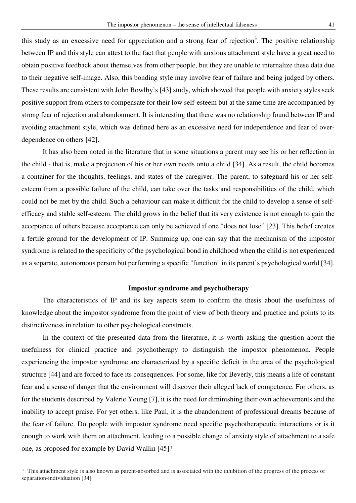this study as an excessive need for appreciation and a strong fear of rejection<sup>3</sup>. The positive relationship between IP and this style can attest to the fact that people with anxious attachment style have a great need to obtain positive feedback about themselves from other people, but they are unable to internalize these data due to their negative self-image. Also, this bonding style may involve fear of failure and being judged by others. These results are consistent with John Bowlby's [43] study, which showed that people with anxiety styles seek positive support from others to compensate for their low self-esteem but at the same time are accompanied by strong fear of rejection and abandonment. It is interesting that there was no relationship found between IP and avoiding attachment style, which was defined here as an excessive need for independence and fear of overdependence on others [42].

It has also been noted in the literature that in some situations a parent may see his or her reflection in the child - that is, make a projection of his or her own needs onto a child [34]. As a result, the child becomes a container for the thoughts, feelings, and states of the caregiver. The parent, to safeguard his or her selfesteem from a possible failure of the child, can take over the tasks and responsibilities of the child, which could not be met by the child. Such a behaviour can make it difficult for the child to develop a sense of selfefficacy and stable self-esteem. The child grows in the belief that its very existence is not enough to gain the acceptance of others because acceptance can only be achieved if one "does not lose" [23]. This belief creates a fertile ground for the development of IP. Summing up, one can say that the mechanism of the impostor syndrome is related to the specificity of the psychological bond in childhood when the child is not experienced as a separate, autonomous person but performing a specific "function" in its parent's psychological world [34].

### **Impostor syndrome and psychotherapy**

The characteristics of IP and its key aspects seem to confirm the thesis about the usefulness of knowledge about the impostor syndrome from the point of view of both theory and practice and points to its distinctiveness in relation to other psychological constructs.

In the context of the presented data from the literature, it is worth asking the question about the usefulness for clinical practice and psychotherapy to distinguish the impostor phenomenon. People experiencing the impostor syndrome are characterized by a specific deficit in the area of the psychological structure [44] and are forced to face its consequences. For some, like for Beverly, this means a life of constant fear and a sense of danger that the environment will discover their alleged lack of competence. For others, as for the students described by Valerie Young [7], it is the need for diminishing their own achievements and the inability to accept praise. For yet others, like Paul, it is the abandonment of professional dreams because of the fear of failure. Do people with impostor syndrome need specific psychotherapeutic interactions or is it enough to work with them on attachment, leading to a possible change of anxiety style of attachment to a safe one, as proposed for example by David Wallin [45]?

<sup>&</sup>lt;sup>3</sup> This attachment style is also known as parent-absorbed and is associated with the inhibition of the progress of the process of separation-individuation [34]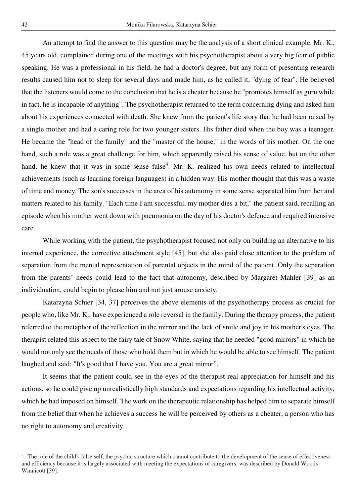An attempt to find the answer to this question may be the analysis of a short clinical example. Mr. K., 45 years old, complained during one of the meetings with his psychotherapist about a very big fear of public speaking. He was a professional in his field, he had a doctor's degree, but any form of presenting research results caused him not to sleep for several days and made him, as he called it, "dying of fear". He believed that the listeners would come to the conclusion that he is a cheater because he "promotes himself as guru while in fact, he is incapable of anything". The psychotherapist returned to the term concerning dying and asked him about his experiences connected with death. She knew from the patient's life story that he had been raised by a single mother and had a caring role for two younger sisters. His father died when the boy was a teenager. He became the "head of the family" and the "master of the house," in the words of his mother. On the one hand, such a role was a great challenge for him, which apparently raised his sense of value, but on the other hand, he knew that it was in some sense false<sup>4</sup>. Mr. K. realized his own needs related to intellectual achievements (such as learning foreign languages) in a hidden way. His mother thought that this was a waste of time and money. The son's successes in the area of his autonomy in some sense separated him from her and matters related to his family. "Each time I am successful, my mother dies a bit," the patient said, recalling an episode when his mother went down with pneumonia on the day of his doctor's defence and required intensive care.

While working with the patient, the psychotherapist focused not only on building an alternative to his internal experience, the corrective attachment style [45], but she also paid close attention to the problem of separation from the mental representation of parental objects in the mind of the patient. Only the separation from the parents' needs could lead to the fact that autonomy, described by Margaret Mahler [39] as an individuation, could begin to please him and not just arouse anxiety.

Katarzyna Schier [34, 37] perceives the above elements of the psychotherapy process as crucial for people who, like Mr. K., have experienced a role reversal in the family. During the therapy process, the patient referred to the metaphor of the reflection in the mirror and the lack of smile and joy in his mother's eyes. The therapist related this aspect to the fairy tale of Snow White, saying that he needed "good mirrors" in which he would not only see the needs of those who hold them but in which he would be able to see himself. The patient laughed and said: "It's good that I have you. You are a great mirror".

It seems that the patient could see in the eyes of the therapist real appreciation for himself and his actions, so he could give up unrealistically high standards and expectations regarding his intellectual activity, which he had imposed on himself. The work on the therapeutic relationship has helped him to separate himself from the belief that when he achieves a success he will be perceived by others as a cheater, a person who has no right to autonomy and creativity.

<sup>&</sup>lt;sup>4</sup> The role of the child's false self, the psychic structure which cannot contribute to the development of the sense of effectiveness and efficiency because it is largely associated with meeting the expectations of caregivers, was described by Donald Woods Winnicott [39].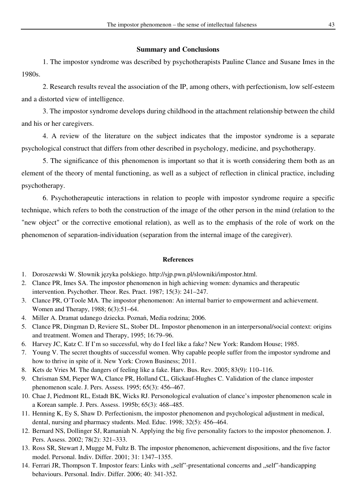# **Summary and Conclusions**

1. The impostor syndrome was described by psychotherapists Pauline Clance and Susane Imes in the 1980s.

2. Research results reveal the association of the IP, among others, with perfectionism, low self-esteem and a distorted view of intelligence.

3. The impostor syndrome develops during childhood in the attachment relationship between the child and his or her caregivers.

4. A review of the literature on the subject indicates that the impostor syndrome is a separate psychological construct that differs from other described in psychology, medicine, and psychotherapy.

5. The significance of this phenomenon is important so that it is worth considering them both as an element of the theory of mental functioning, as well as a subject of reflection in clinical practice, including psychotherapy.

6. Psychotherapeutic interactions in relation to people with impostor syndrome require a specific technique, which refers to both the construction of the image of the other person in the mind (relation to the "new object" or the corrective emotional relation), as well as to the emphasis of the role of work on the phenomenon of separation-individuation (separation from the internal image of the caregiver).

#### **References**

- 1. Doroszewski W. Słownik języka polskiego. http://sjp.pwn.pl/slowniki/impostor.html.
- 2. Clance PR, Imes SA. The impostor phenomenon in high achieving women: dynamics and therapeutic intervention. Psychother. Theor. Res. Pract. 1987; 15(3): 241–247.
- 3. Clance PR, O'Toole MA. The impostor phenomenon: An internal barrier to empowerment and achievement. Women and Therapy, 1988; 6(3):51–64.
- 4. Miller A. Dramat udanego dziecka. Poznań, Media rodzina; 2006.
- 5. Clance PR, Dingman D, Reviere SL, Stober DL. Impostor phenomenon in an interpersonal/social context: origins and treatment. Women and Therapy, 1995; 16:79–96.
- 6. Harvey JC, Katz C. If I'm so successful, why do I feel like a fake? New York: Random House; 1985.
- 7. Young V. The secret thoughts of successful women. Why capable people suffer from the impostor syndrome and how to thrive in spite of it. New York: Crown Business; 2011.
- 8. Kets de Vries M. The dangers of feeling like a fake. Harv. Bus. Rev. 2005; 83(9): 110–116.
- 9. Chrisman SM, Pieper WA, Clance PR, Holland CL, Glickauf-Hughes C. Validation of the clance imposter phenomenon scale. J. Pers. Assess. 1995; 65(3): 456–467.
- 10. Chae J, Piedmont RL, Estadt BK, Wicks RJ. Personological evaluation of clance's imposter phenomenon scale in a Korean sample. J. Pers. Assess. 1995b; 65(3): 468–485.
- 11. Henning K, Ey S, Shaw D. Perfectionism, the impostor phenomenon and psychological adjustment in medical, dental, nursing and pharmacy students. Med. Educ. 1998; 32(5): 456–464.
- 12. Bernard NS, Dollinger SJ, Ramaniah N. Applying the big five personality factors to the impostor phenomenon. J. Pers. Assess. 2002; 78(2): 321–333.
- 13. Ross SR, Stewart J, Mugge M, Fultz B. The impostor phenomenon, achievement dispositions, and the five factor model. Personal. Indiv. Differ. 2001; 31: 1347–1355.
- 14. Ferrari JR, Thompson T. Impostor fears: Links with "self"-presentational concerns and "self"-handicapping behaviours. Personal. Indiv. Differ. 2006; 40: 341-352.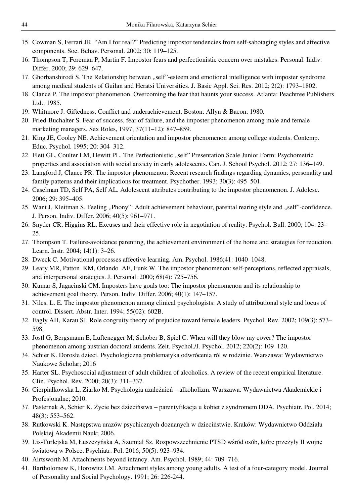- 15. Cowman S, Ferrari JR. "Am I for real?" Predicting impostor tendencies from self-sabotaging styles and affective components. Soc. Behav. Personal. 2002; 30: 119–125.
- 16. Thompson T, Foreman P, Martin F. Impostor fears and perfectionistic concern over mistakes. Personal. Indiv. Differ. 2000; 29: 629–647.
- 17. Ghorbanshirodi S. The Relationship between "self"-esteem and emotional intelligence with imposter syndrome among medical students of Guilan and Heratsi Universities. J. Basic Appl. Sci. Res. 2012; 2(2): 1793–1802.
- 18. Clance P. The impostor phenomenon. Overcoming the fear that haunts your success. Atlanta: Peachtree Publishers Ltd.; 1985.
- 19. Whitmore J. Giftedness. Conflict and underachievement. Boston: Allyn & Bacon; 1980.
- 20. Fried-Buchalter S. Fear of success, fear of failure, and the imposter phenomenon among male and female marketing managers. Sex Roles, 1997; 37(11–12): 847–859.
- 21. King JE, Cooley NE. Achievement orientation and impostor phenomenon among college students. Contemp. Educ. Psychol. 1995; 20: 304–312.
- 22. Flett GL, Coulter LM, Hewitt PL. The Perfectionistic "self" Presentation Scale Junior Form: Psychometric properties and association with social anxiety in early adolescents. Can. J. School Psychol. 2012; 27: 136–149.
- 23. Langford J, Clance PR. The impostor phenomenon: Recent research findings regarding dynamics, personality and family patterns and their implications for treatment. Psychother. 1993; 30(3): 495–501.
- 24. Caselman TD, Self PA, Self AL. Adolescent attributes contributing to the impostor phenomenon. J. Adolesc. 2006; 29: 395–405.
- 25. Want J, Kleitman S. Feeling "Phony": Adult achievement behaviour, parental rearing style and "self"-confidence. J. Person. Indiv. Differ. 2006; 40(5): 961–971.
- 26. Snyder CR, Higgins RL. Excuses and their effective role in negotiation of reality. Psychol. Bull. 2000; 104: 23– 25.
- 27. Thompson T. Failure-avoidance parenting, the achievement environment of the home and strategies for reduction. Learn. Instr. 2004; 14(1): 3–26.
- 28. Dweck C. Motivational processes affective learning. Am. Psychol. 1986;41: 1040–1048.
- 29. Leary MR, Patton KM, Orlando AE, Funk W. The impostor phenomenon: self-perceptions, reflected appraisals, and interpersonal strategies. J. Personal. 2000; 68(4): 725–756.
- 30. Kumar S, Jagacinski CM. Imposters have goals too: The impostor phenomenon and its relationship to achievement goal theory. Person. Indiv. Differ. 2006; 40(1): 147–157.
- 31. Niles, L. E. The impostor phenomenon among clinical psychologists: A study of attributional style and locus of control. Dissert. Abstr. Inter. 1994; 55(02): 602B.
- 32. Eagly AH, Karau SJ. Role congruity theory of prejudice toward female leaders. Psychol. Rev. 2002; 109(3): 573– 598.
- 33. Jöstl G, Bergsmann E, Lüftenegger M, Schober B, Spiel C. When will they blow my cover? The impostor phenomenon among austrian doctoral students. Zeit. Psychol./J. Psychol. 2012; 220(2): 109–120.
- 34. Schier K. Dorosłe dzieci. Psychologiczna problematyka odwrócenia ról w rodzinie. Warszawa: Wydawnictwo Naukowe Scholar; 2016
- 35. Harter SL. Psychosocial adjustment of adult children of alcoholics. A review of the recent empirical literature. Clin. Psychol. Rev. 2000; 20(3): 311–337.
- 36. Cierpiałkowska L, Ziarko M. Psychologia uzależnień alkoholizm. Warszawa: Wydawnictwa Akademickie i Profesjonalne; 2010.
- 37. Pasternak A, Schier K. Życie bez dzieciństwa parentyfikacja u kobiet z syndromem DDA. Psychiatr. Pol. 2014; 48(3): 553–562.
- 38. Rutkowski K. Następstwa urazów psychicznych doznanych w dzieciństwie. Kraków: Wydawnictwo Oddziału Polskiej Akademii Nauk; 2006.
- 39. Lis-Turlejska M, Łuszczyńska A, Szumiał Sz. Rozpowszechnienie PTSD wśród osób, które przeżyły II wojnę światową w Polsce. Psychiatr. Pol. 2016; 50(5): 923–934.
- 40. Airtsworth M. Attachments beyond infancy. Am. Psychol. 1989; 44: 709–716.
- 41. Bartholomew K, Horowitz LM. Attachment styles among young adults. A test of a four-category model. Journal of Personality and Social Psychology. 1991; 26: 226-244.